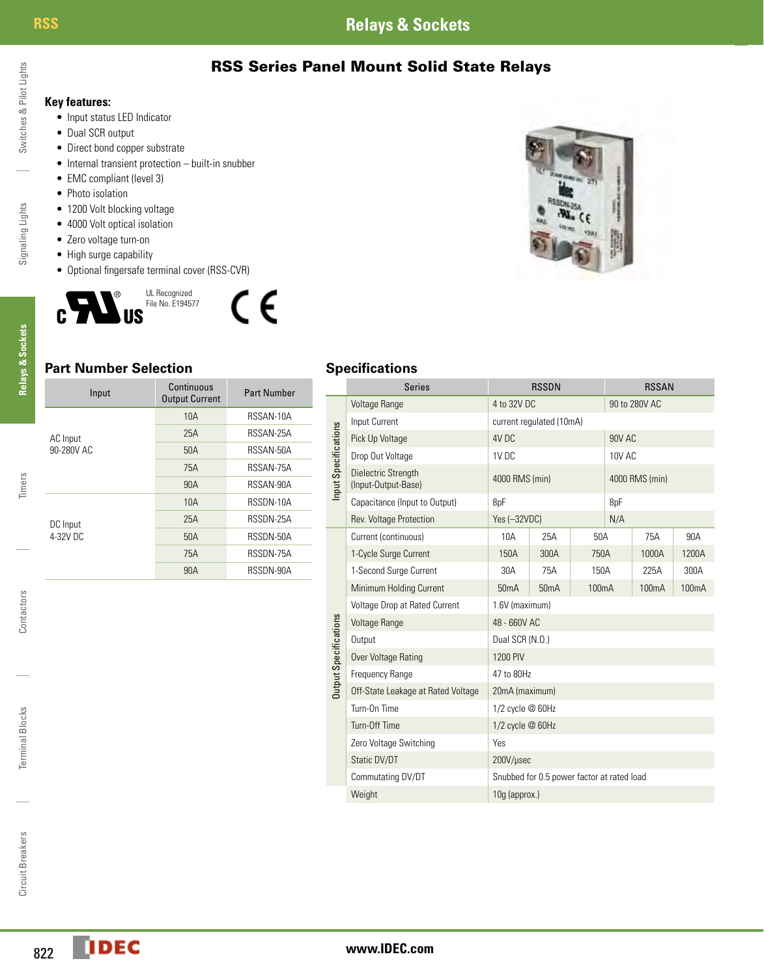# **RSS Relays & Sockets**

RSS Series Panel Mount Solid State Relays



**Relays & Sockets**

**Relays & Sockets** 

Timers

Contactors

Contactors

Terminal Blocks

Terminal Blocks

Circuit Breakers

Circuit Breakers

**Key features:**

- • Input status LED Indicator
- Dual SCR output
- Direct bond copper substrate
- Internal transient protection built-in snubber
- EMC compliant (level 3)
- Photo isolation
- 1200 Volt blocking voltage
- 4000 Volt optical isolation
- Zero voltage turn-on
- High surge capability
- • Optional fingersafe terminal cover (RSS-CVR)





## **Part Number Selection Specifications**

| Input      | Continuous<br><b>Output Current</b> | <b>Part Number</b> |
|------------|-------------------------------------|--------------------|
|            | 10A                                 | RSSAN-10A          |
| AC Input   | 25A                                 | RSSAN-25A          |
| 90-280V AC | 50A                                 | RSSAN-50A          |
|            | 75A                                 | RSSAN-75A          |
|            | 90A                                 | RSSAN-90A          |
|            | 10A                                 | RSSDN-10A          |
| DC Input   | 25A                                 | RSSDN-25A          |
| 4-32V DC   | 50A                                 | RSSDN-50A          |
|            | 75A                                 | RSSDN-75A          |
|            | 90A                                 | RSSDN-90A          |

|                       | <b>Series</b>                              |                                            | <b>RSSDN</b> |                    |               | <b>RSSAN</b>       |       |
|-----------------------|--------------------------------------------|--------------------------------------------|--------------|--------------------|---------------|--------------------|-------|
|                       | Voltage Range                              | 4 to 32V DC                                |              |                    | 90 to 280V AC |                    |       |
|                       | Input Current                              | current regulated (10mA)                   |              |                    |               |                    |       |
| Input Specifications  | Pick Up Voltage                            | 4V <sub>DC</sub>                           |              |                    | <b>90V AC</b> |                    |       |
|                       | Drop Out Voltage                           | 1V DC                                      |              |                    | 10V AC        |                    |       |
|                       | Dielectric Strength<br>(Input-Output-Base) | 4000 RMS (min)                             |              |                    |               | 4000 RMS (min)     |       |
|                       | Capacitance (Input to Output)              | 8pF                                        |              | 8pF                |               |                    |       |
|                       | Rev. Voltage Protection                    | Yes (-32VDC)                               |              | N/A                |               |                    |       |
|                       | Current (continuous)                       | 10A                                        | 25A          | 50A                |               | 75A                | 90A   |
|                       | 1-Cycle Surge Current                      | 150A                                       | 300A         | 750A               |               | 1000A              | 1200A |
|                       | 1-Second Surge Current                     | 30A                                        | 75A          | 150A               |               | 225A               | 300A  |
|                       | Minimum Holding Current                    | 50 <sub>m</sub> A                          | 50mA         | 100 <sub>m</sub> A |               | 100 <sub>m</sub> A | 100mA |
|                       | Voltage Drop at Rated Current              | 1.6V (maximum)                             |              |                    |               |                    |       |
|                       | <b>Voltage Range</b>                       | 48 - 660V AC                               |              |                    |               |                    |       |
| Output Specifications | Output                                     | Dual SCR (N.O.)                            |              |                    |               |                    |       |
|                       | Over Voltage Rating                        | 1200 PIV                                   |              |                    |               |                    |       |
|                       | Frequency Range                            | 47 to 80Hz                                 |              |                    |               |                    |       |
|                       | Off-State Leakage at Rated Voltage         | 20mA (maximum)                             |              |                    |               |                    |       |
|                       | Turn-On Time                               | 1/2 cycle @ 60Hz                           |              |                    |               |                    |       |
|                       | Turn-Off Time                              | 1/2 cycle @ 60Hz                           |              |                    |               |                    |       |
|                       | Zero Voltage Switching                     | Yes                                        |              |                    |               |                    |       |
|                       | Static DV/DT                               | 200V/usec                                  |              |                    |               |                    |       |
|                       | Commutating DV/DT                          | Snubbed for 0.5 power factor at rated load |              |                    |               |                    |       |
|                       | Weight                                     | 10g (approx.)                              |              |                    |               |                    |       |
|                       |                                            |                                            |              |                    |               |                    |       |

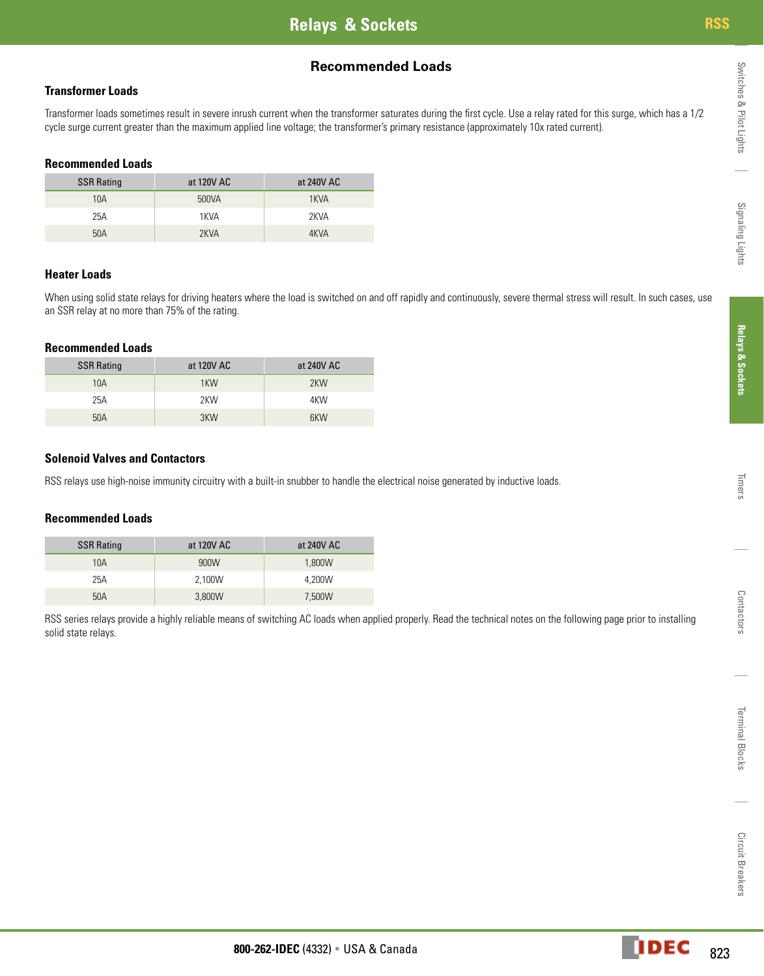## **Recommended Loads**

#### **Transformer Loads**

Transformer loads sometimes result in severe inrush current when the transformer saturates during the first cycle. Use a relay rated for this surge, which has a 1/2 cycle surge current greater than the maximum applied line voltage; the transformer's primary resistance (approximately 10x rated current).

#### **Recommended Loads**

| <b>SSR Rating</b> | at 120V AC | at 240V AC |
|-------------------|------------|------------|
| 10A               | 500VA      | 1KVA       |
| 25A               | 1KVA       | 2KVA       |
| 50A               | 2KVA       | 4KVA       |

#### **Heater Loads**

When using solid state relays for driving heaters where the load is switched on and off rapidly and continuously, severe thermal stress will result. In such cases, use an SSR relay at no more than 75% of the rating.

#### **Recommended Loads**

| <b>SSR Rating</b> | at 120V AC | at 240V AC |
|-------------------|------------|------------|
| 10A               | 1KW        | 2KW        |
| 25A               | 2KW        | 4KW        |
| 50A               | 3KW        | 6KW        |

#### **Solenoid Valves and Contactors**

RSS relays use high-noise immunity circuitry with a built-in snubber to handle the electrical noise generated by inductive loads.

#### **Recommended Loads**

| <b>SSR Rating</b> | at 120V AC | at 240V AC |
|-------------------|------------|------------|
| 10A               | 900W       | 1,800W     |
| 25A               | 2.100W     | 4.200W     |
| 50A               | 3,800W     | 7,500W     |

RSS series relays provide a highly reliable means of switching AC loads when applied properly. Read the technical notes on the following page prior to installing solid state relays.

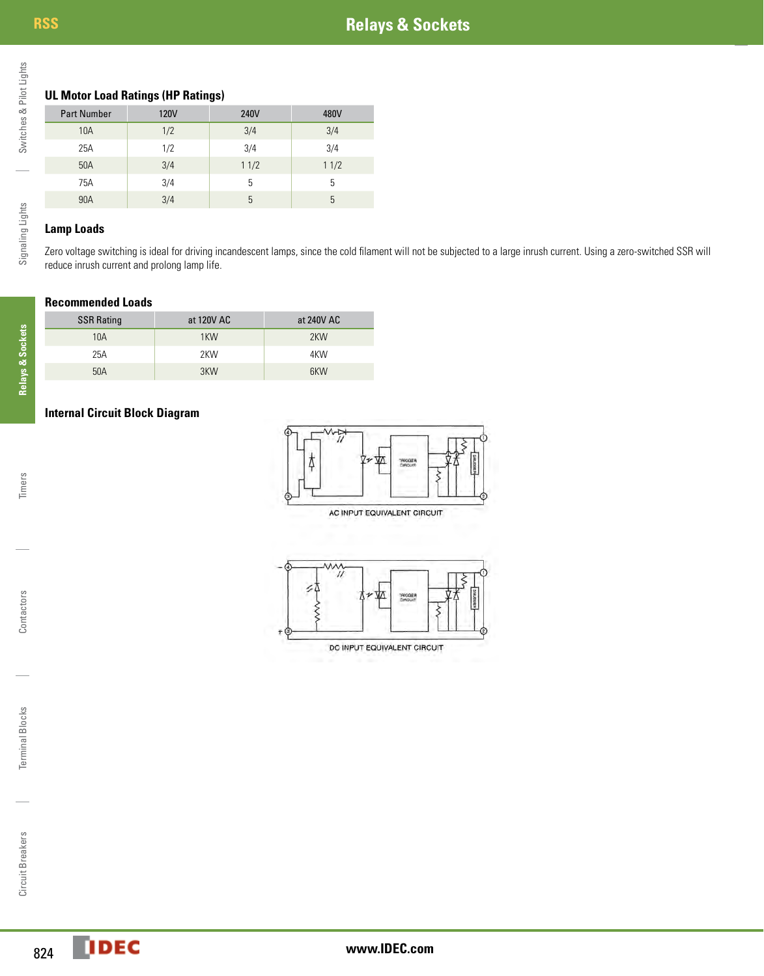## **UL Motor Load Ratings (HP Ratings)**

| <b>Part Number</b> | <b>120V</b> | 240V | 480V |
|--------------------|-------------|------|------|
| 10A                | 1/2         | 3/4  | 3/4  |
| 25A                | 1/2         | 3/4  | 3/4  |
| 50A                | 3/4         | 11/2 | 11/2 |
| 75A                | 3/4         | 5    | 5    |
| 90A                | 3/4         | 5    | 5    |

### **Lamp Loads**

Zero voltage switching is ideal for driving incandescent lamps, since the cold filament will not be subjected to a large inrush current. Using a zero-switched SSR will reduce inrush current and prolong lamp life.

#### **Recommended Loads**

| <b>SSR Rating</b> | at 120V AC | at 240V AC |
|-------------------|------------|------------|
| 10A               | 1KW        | 2KW        |
| 25A               | 2KW        | 4KW        |
| 50A               | 3KW        | 6KW        |

### **Internal Circuit Block Diagram**



AC INPUT EQUIVALENT CIRCUIT



Switches & Pilot Lights

Switches & Pilot Lights

Terminal Blocks

Terminal Blocks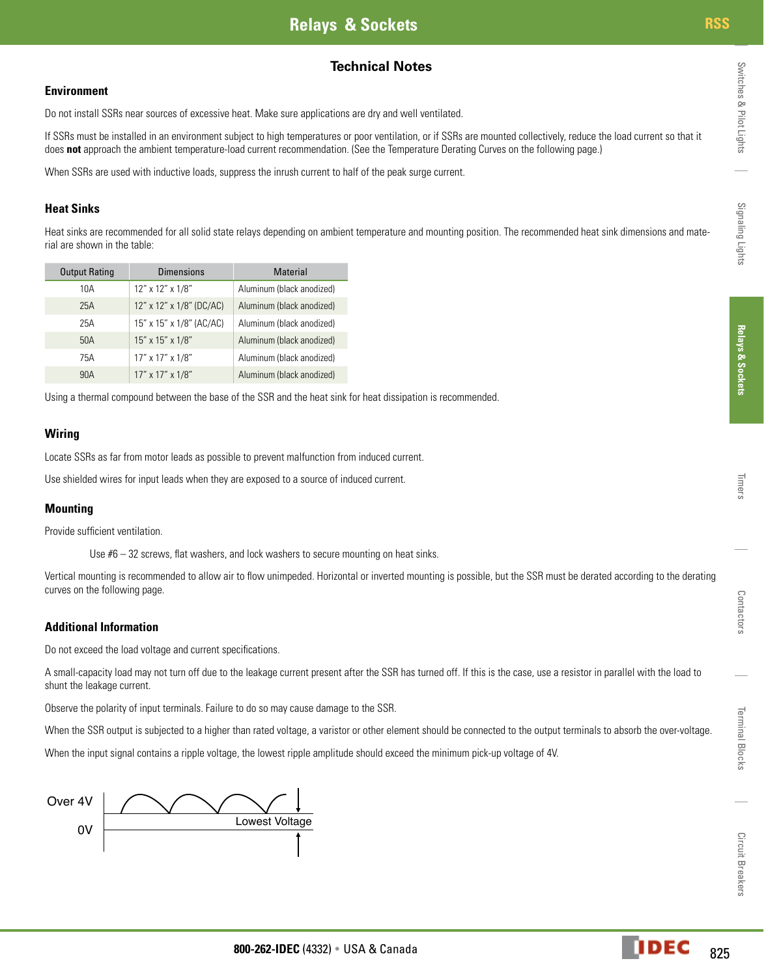## **Technical Notes**

#### **Environment**

Do not install SSRs near sources of excessive heat. Make sure applications are dry and well ventilated.

If SSRs must be installed in an environment subject to high temperatures or poor ventilation, or if SSRs are mounted collectively, reduce the load current so that it does **not** approach the ambient temperature-load current recommendation. (See the Temperature Derating Curves on the following page.)

When SSRs are used with inductive loads, suppress the inrush current to half of the peak surge current.

#### **Heat Sinks**

Heat sinks are recommended for all solid state relays depending on ambient temperature and mounting position. The recommended heat sink dimensions and material are shown in the table:

| <b>Output Rating</b> | <b>Dimensions</b>        | <b>Material</b>           |
|----------------------|--------------------------|---------------------------|
| 10A                  | 12" x 12" x 1/8"         | Aluminum (black anodized) |
| 25A                  | 12" x 12" x 1/8" (DC/AC) | Aluminum (black anodized) |
| 25A                  | 15" x 15" x 1/8" (AC/AC) | Aluminum (black anodized) |
| 50A                  | 15" x 15" x 1/8"         | Aluminum (black anodized) |
| 75A                  | 17" x 17" x 1/8"         | Aluminum (black anodized) |
| 90A                  | 17" x 17" x 1/8"         | Aluminum (black anodized) |

Using a thermal compound between the base of the SSR and the heat sink for heat dissipation is recommended.

#### **Wiring**

Locate SSRs as far from motor leads as possible to prevent malfunction from induced current.

Use shielded wires for input leads when they are exposed to a source of induced current.

#### **Mounting**

Provide sufficient ventilation.

Use #6 – 32 screws, flat washers, and lock washers to secure mounting on heat sinks.

Vertical mounting is recommended to allow air to flow unimpeded. Horizontal or inverted mounting is possible, but the SSR must be derated according to the derating curves on the following page.

#### **Additional Information**

Do not exceed the load voltage and current specifications.

A small-capacity load may not turn off due to the leakage current present after the SSR has turned off. If this is the case, use a resistor in parallel with the load to shunt the leakage current.

Observe the polarity of input terminals. Failure to do so may cause damage to the SSR.

When the SSR output is subjected to a higher than rated voltage, a varistor or other element should be connected to the output terminals to absorb the over-voltage.

When the input signal contains a ripple voltage, the lowest ripple amplitude should exceed the minimum pick-up voltage of 4V.



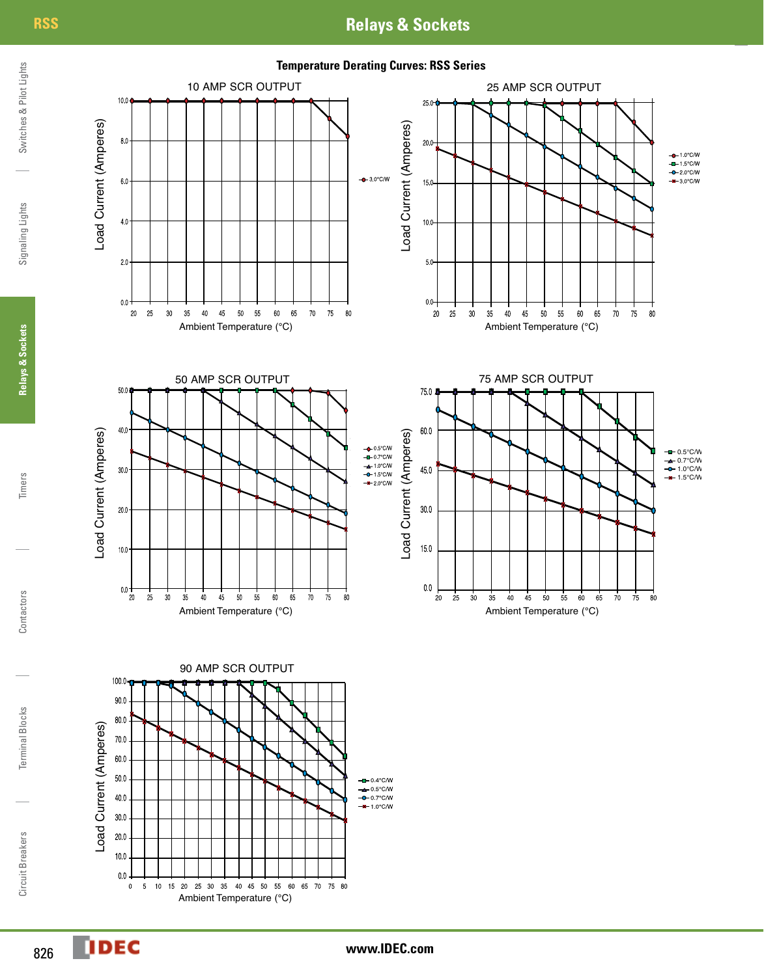# **RSS Relays & Sockets**